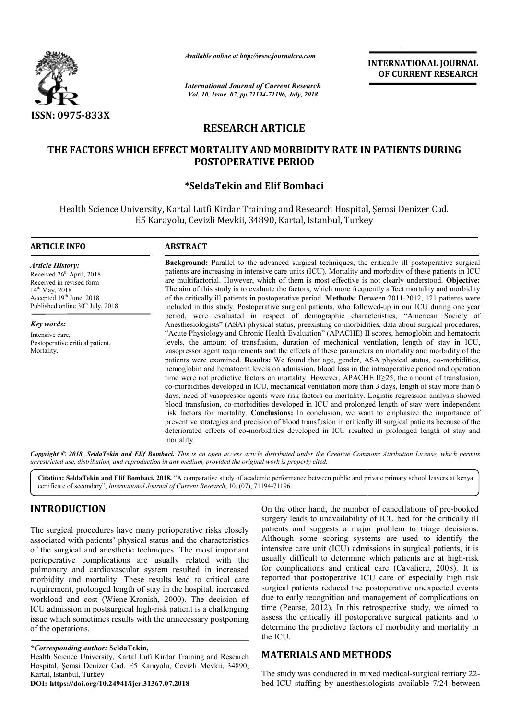

*Available online at http://www.journalcra.com*

*International Journal of Current Research Vol. 10, Issue, 07, pp.71194-71196, July, 2018*

**INTERNATIONAL JOURNAL OF CURRENT RESEARCH**

# **RESEARCH ARTICLE**

## **THE FACTORS WHICH EFFECT MORTALITY AND MORBIDITY RATE IN PATIENTS DURING THE FACTORS IN PATIENTS POSTOPERATIVE PERIOD**

## **\*SeldaTekin and Elif Bombaci**

Health Science University, Kartal Lutfi Kirdar Training and Research Hospital, Şemsi Denizer Cad. E5 Karayolu, Cevizli Mevkii, 34890, Kartal, Istanbul, Turkey E5 Karayolu, Cevizli Mevkii,

#### **ARTICLE INFO ABSTRACT**

*Article History:* Received 26<sup>th</sup> April, 2018 Received in revised form 14<sup>th</sup> May, 2018 Accepted 19<sup>th</sup> June, 2018 Published online  $30<sup>th</sup>$  July, 2018

*Key words:* Intensive care, Postoperative critical patient, Mortality.

**Background:** Parallel to the advanced surgical techniques, the critically ill postoperative surgical patients are increasing in intensive care units (ICU). Mortality and morbidity of these patients in ICU are multifactorial. However, which of them is most effective is not clearly understood. Objective: The aim of this study is to evaluate the factors, which more frequently affect mortality and morbidity The aim of this study is to evaluate the factors, which more frequently affect mortality and morbidity of the critically ill patients in postoperative period. **Methods:** Between 2011-2012, 121 patients were included in this study. Postoperative surgical patients, who followed-up in our ICU during one year period, were evaluated in respect of demographic characteristics, "American Society of period, were evaluated in respect of demographic characteristics, "American Society of Anesthesiologists" (ASA) physical status, preexisting co-morbidities, data about surgical procedures, "Acute Physiology and Chronic Health Evaluation" (APACHE) II scores, hemoglobin and hematocrit levels, the amount of transfusion, duration of mechanical ventilation, length of stay in ICU, vasopressor agent requirements and the effects of these parameters on mortality and morbidity of the patients were examined. **Results:** We found that age, gender, ASA physical status, co hemoglobin and hematocrit levels on admission, blood loss in the intraoperative period and operation hemoglobin and hematocrit levels on admission, blood loss in the intraoperative period and operation time were not predictive factors on mortality. However, APACHE II≥25, the amount of transfusion, co-morbidities developed in ICU, mechanical ventilation more than 3 days, length of stay more than 6 co-morbidities developed in ICU, mechanical ventilation more than 3 days, length of stay more than 6 days, need of vasopressor agents were risk factors on mortality. Logistic regression analysis showed blood transfusion, co-morbidities developed in ICU and prolonged length of stay were independent risk factors for mortality. **Conclusions:** In conclusion, we want to emphasize the importance of preventive strategies and pr precision of blood transfusion in critically ill surgical patients because of the deteriorated effects of co co-morbidities developed in ICU resulted in prolonged length of stay and mortality. illel to the advanced surgical techniques, the critically ill postoperative surgical<br>ing in intensive care units (ICU). Mortality and morbidity of these patients in ICU<br>However, which of them is most effective is not clear "Acute Physiology and Chronic Health Evaluation" (APACHE) II scores, hemoglobin and hematocrit levels, the amount of transfusion, duration of mechanical ventilation, length of stay in ICU, vasopressor agent requirements an morbidities developed in ICU, mechanical ventilation more than 3 days, length of stay more than<br>s, need of vasopressor agents were risk factors on mortality. Logistic regression analysis show<br>od transfusion, co-morbidities INTERNATIONAL JOUENAL<br>
Treat Research<br>
1981 Energie and the control of CURRENT RESEARCH<br>
1994 July, 2018<br>
1994 July, 2018<br>
1994 July, 2018<br>
1995 Hard Research Hospital, Sensi Denizer Cad.<br>
Rarial Research Hospital, Sensi

Copyright © 2018, SeldaTekin and Elif Bombaci. This is an open access article distributed under the Creative Commons Attribution License, which permits *unrestricted use, distribution, and reproduction in any medium, provided the original work is properly cited.*

Citation: SeldaTekin and Elif Bombaci. 2018. "A comparative study of academic performance between public and private primary school leavers at kenya certificate of secondary", *International Journal of Current Research* , 10, (07), 71194-71196.

## **INTRODUCTION**

The surgical procedures have many perioperative risks closely associated with patients' physical status and the characteristics of the surgical and anesthetic techniques. The most important perioperative complications are usually related with the pulmonary and cardiovascular system resulted in increased morbidity and mortality. These results lead to critical care requirement, prolonged length of stay in the hospital, increased workload and cost (Wiene-Kronish, 2000). The decision of ICU admission in postsurgical high-risk patient is a challenging issue which sometimes results with the unnecessary postponing of the operations. ICU admission in postsurgical high-risk patient is a challenging<br>
issue which sometimes results with the unnecessary postponing<br>
of the operations.<br>
\*Corresponding author: SeldaTekin,<br>
Health Science University, Kartal Luf

#### *\*Corresponding author:* **SeldaTekin,**

On the other hand, the number of cancellations of pre-<br>
surgery leads to unavailability of ICU bed for the crit<br>
is and the characteristics<br>
Although some scoring systems are used to identical<br>
sually related with the usua surgery leads to unavailability of ICU bed for the critically ill patients and suggests a major problem to triage decisions. Although some scoring systems are used to identify the intensive care unit (ICU) admissions in surgical patients, it is patients and suggests a major problem to triage decisions.<br>Although some scoring systems are used to identify the<br>intensive care unit (ICU) admissions in surgical patients, it is<br>usually difficult to determine which patien for complications and critical care (Cavaliere, 2008). It is reported that postoperative ICU care of especially high risk surgical patients reduced the postoperative unexpected events due to early recognition and management of complications on time (Pearse, 2012). In this retrospective study, we aimed to assess the critically ill postoperative surgical patients and to reported that postoperative ICU care of especially high risk<br>surgical patients reduced the postoperative unexpected events<br>due to early recognition and management of complications on<br>time (Pearse, 2012). In this retrospect the ICU. On the other hand, the number of cancellations of pre-booked

### **MATERIALS AND METHODS METHODS**

The study was conducted in mixed medical-surgical tertiary 22bed-ICU staffing by anesthesiologists available 7/24 between

Hospital, Şemsi Denizer Cad. E5 Karayolu, Cevizli Mevkii, 34890, Kartal, Istanbul, Turkey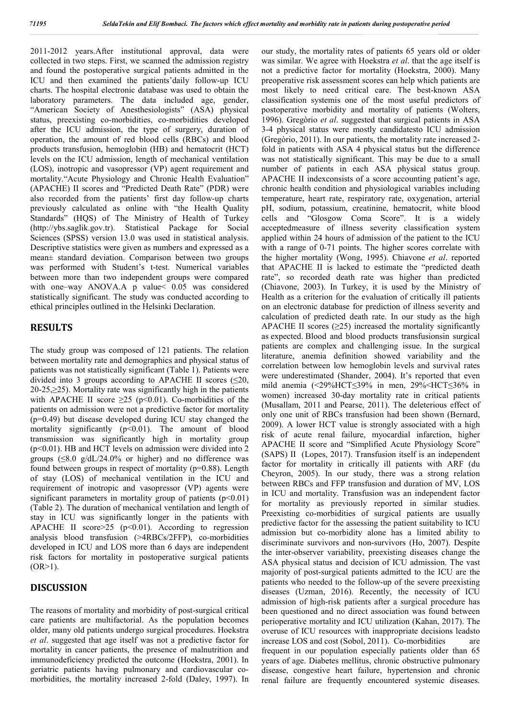2011-2012 years.After institutional approval, data were collected in two steps. First, we scanned the admission registry and found the postoperative surgical patients admitted in the ICU and then examined the patients'daily follow-up ICU charts. The hospital electronic database was used to obtain the laboratory parameters. The data included age, gender, "American Society of Anesthesiologists" (ASA) physical status, preexisting co-morbidities, co-morbidities developed after the ICU admission, the type of surgery, duration of operation, the amount of red blood cells (RBCs) and blood products transfusion, hemoglobin (HB) and hematocrit (HCT) levels on the ICU admission, length of mechanical ventilation (LOS), inotropic and vasopressor (VP) agent requirement and mortality."Acute Physiology and Chronic Health Evaluation" (APACHE) II scores and "Predicted Death Rate" (PDR) were also recorded from the patients' first day follow-up charts previously calculated as online with "the Health Quality Standards" (HQS) of The Ministry of Health of Turkey (http://ybs.saglik.gov.tr). Statistical Package for Social Sciences (SPSS) version 13.0 was used in statistical analysis. Descriptive statistics were given as numbers and expressed as a mean± standard deviation. Comparison between two groups was performed with Student's t-test. Numerical variables between more than two independent groups were compared with one–way ANOVA.A p value< 0.05 was considered statistically significant. The study was conducted according to ethical principles outlined in the Helsinki Declaration.

#### **RESULTS**

The study group was composed of 121 patients. The relation between mortality rate and demographics and physical status of patients was not statistically significant (Table 1). Patients were divided into 3 groups according to APACHE II scores  $(\leq 20,$ 20-25,≥25). Mortality rate was significantly high in the patients with APACHE II score  $\geq 25$  (p<0.01). Co-morbidities of the patients on admission were not a predictive factor for mortality (p=0.49) but disease developed during ICU stay changed the mortality significantly  $(p<0.01)$ . The amount of blood transmission was significantly high in mortality group  $(p<0.01)$ . HB and HCT levels on admission were divided into 2 groups  $(\leq 8.0 \text{ g/d}L/24.0\% \text{ or higher})$  and no difference was found between groups in respect of mortality (p=0.88). Length of stay (LOS) of mechanical ventilation in the ICU and requirement of inotropic and vasopressor (VP) agents were significant parameters in mortality group of patients  $(p<0.01)$ (Table 2). The duration of mechanical ventilation and length of stay in ICU was significantly longer in the patients with APACHE II score  $\geq 25$  (p<0.01). According to regression analysis blood transfusion (>4RBCs/2FFP), co-morbidities developed in ICU and LOS more than 6 days are independent risk factors for mortality in postoperative surgical patients  $(OR>1)$ .

#### **DISCUSSION**

The reasons of mortality and morbidity of post-surgical critical care patients are multifactorial. As the population becomes older, many old patients undergo surgical procedures. Hoekstra *et al*. suggested that age itself was not a predictive factor for mortality in cancer patients, the presence of malnutrition and immunodeficiency predicted the outcome (Hoekstra, 2001). In geriatric patients having pulmonary and cardiovascular comorbidities, the mortality increased 2-fold (Daley, 1997). In our study, the mortality rates of patients 65 years old or older was similar. We agree with Hoekstra *et al*. that the age itself is not a predictive factor for mortality (Hoekstra, 2000). Many preoperative risk assessment scores can help which patients are most likely to need critical care. The best-known ASA classification systemis one of the most useful predictors of postoperative morbidity and mortality of patients (Wolters, 1996). Gregòrio *et al*. suggested that surgical patients in ASA 3-4 physical status were mostly candidatesto ICU admission (Gregòrio, 2011). In our patients, the mortality rate increased 2 fold in patients with ASA 4 physical status but the difference was not statistically significant. This may be due to a small number of patients in each ASA physical status group. APACHE II indexconsists of a score accounting patient's age, chronic health condition and physiological variables including temperature, heart rate, respiratory rate, oxygenation, arterial pH, sodium, potassium, creatinine, hematocrit, white blood cells and "Glosgow Coma Score". It is a widely acceptedmeasure of illness severity classification system applied within 24 hours of admission of the patient to the ICU with a range of 0-71 points. The higher scores correlate with the higher mortality (Wong, 1995). Chiavone *et al*. reported that APACHE II is lacked to estimate the "predicted death rate", so recorded death rate was higher than predicted (Chiavone, 2003). In Turkey, it is used by the Ministry of Health as a criterion for the evaluation of critically ill patients on an electronic database for prediction of illness severity and calculation of predicted death rate. In our study as the high APACHE II scores  $(\geq 25)$  increased the mortality significantly as expected. Blood and blood products transfusionsin surgical patients are complex and challenging issue. In the surgical literature, anemia definition showed variability and the correlation between low hemoglobin levels and survival rates were underestimated (Shander, 2004). It's reported that even mild anemia (<29%HCT≤39% in men, 29%<HCT≤36% in women) increased 30-day mortality rate in critical patients (Musallam, 2011 and Pearse, 2011). The deleterious effect of only one unit of RBCs transfusion had been shown (Bernard, 2009). A lower HCT value is strongly associated with a high risk of acute renal failure, myocardial infarction, higher APACHE II score and "Simplified Acute Physiology Score" (SAPS) II (Lopes, 2017). Transfusion itself is an independent factor for mortality in critically ill patients with ARF (du Cheyron, 2005). In our study, there was a strong relation between RBCs and FFP transfusion and duration of MV, LOS in ICU and mortality. Transfusion was an independent factor for mortality as previously reported in similar studies. Preexisting co-morbidities of surgical patients are usually predictive factor for the assessing the patient suitability to ICU admission but co-morbidity alone has a limited ability to discriminate survivors and non-survivors (Ho, 2007). Despite the inter-observer variability, preexisting diseases change the ASA physical status and decision of ICU admission. The vast majority of post-surgical patients admitted to the ICU are the patients who needed to the follow-up of the severe preexisting diseases (Uzman, 2016). Recently, the necessity of ICU admission of high-risk patients after a surgical procedure has been questioned and no direct association was found between perioperative mortality and ICU utilization (Kahan, 2017). The overuse of ICU resources with inappropriate decisions leadsto increase LOS and cost (Sobol, 2011). Co-morbidities are frequent in our population especially patients older than 65 years of age. Diabetes mellitus, chronic obstructive pulmonary disease, congestive heart failure, hypertension and chronic renal failure are frequently encountered systemic diseases.